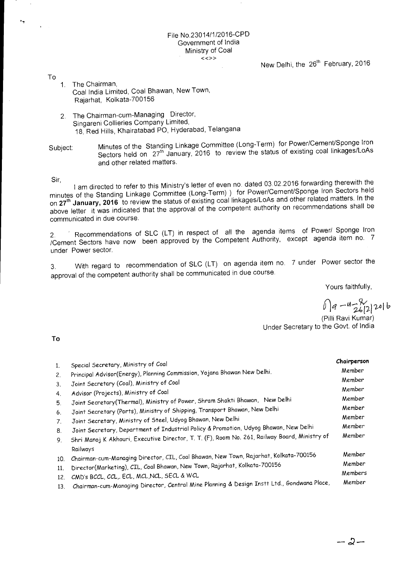## File No.23014/1/2016-CPD Government of India Ministry of Coal

New Delhi, the 26<sup>th</sup> February, 2016

- 1. The Chairman, Coal India Limited, Coal Bhawan, New Town, Rajarhat, Kolkata-700156
- 2. The Chairman-cum-Managing Director, Singareni Collieries Company Limited, 18, Red Hills, Khairatabad PO, Hyderabad, Telangana

Subject: Minutes of the Standing Linkage Committee (Long-Term) for Power/Cement/Sponge Iron Sectors held on 27<sup>th</sup> January, 2016 to review the status of existing coal linkages/LoAs and other related matters.

Sir,

To

I am directed to refer to this Ministry's letter of even no. dated 03.02.2016 forwarding therewith the minutes of the Standing Linkage Committee (Long-Term) ) for Power/Cement/Sponge Iron Sectors held on **27th January, 2016** to review the status of existing coal linkages/LoAs and other related matters. In the above letter it was indicated that the approval of the competent authority on recommendations shall be communicated in due course.

2. Recommendations of SLC (LT) in respect of all the agenda items of Power/ Sponge Iron /Cement Sectors have now been approved by the Competent Authority, except agenda item no. 7 under Power sector.

3. With regard to recommendation of SLC (LT) on agenda item no. 7 under Power sector the approval of the competent authority shall be communicated in due course.

Yours faithfully,

 $6)$ 9-4-2622016

(Pilli Ravi Kumar) Under Secretary to the Govt. of India

**To** 

| 1.             | Special Secretary, Ministry of Coal                                                           | Chairperson |
|----------------|-----------------------------------------------------------------------------------------------|-------------|
| 2.             | Principal Advisor(Energy), Planning Commission, Yojana Bhawan New Delhi.                      | Member      |
| 3.             | Joint Secretary (Coal), Ministry of Coal                                                      | Member      |
| 4.             | Advisor (Projects), Ministry of Coal                                                          | Member      |
| 5.             | Joint Secretary(Thermal), Ministry of Power, Shram Shakti Bhawan, New Delhi                   | Member      |
| 6.             | Joint Secretary (Ports), Ministry of Shipping, Transport Bhawan, New Delhi                    | Member      |
| 7 <sub>1</sub> | Joint Secretary, Ministry of Steel, Udyog Bhawan, New Delhi                                   | Member      |
| 8.             | Joint Secretary, Department of Industrial Policy & Promotion, Udyog Bhawan, New Delhi         | Member      |
| 9.             | Shri Manoj K Akhouri, Executive Director, T. T. (F), Room No. 261, Railway Board, Ministry of | Member      |
|                | Railways                                                                                      |             |
| 10.            | Chairman-cum-Managing Director, CIL, Coal Bhawan, New Town, Rajarhat, Kolkata-700156          | Member      |
| 11.            | Director(Marketing), CIL, Coal Bhawan, New Town, Rajarhat, Kolkata-700156                     | Member      |
| 12.            | CMD's BCCL, CCL, ECL, MCL, NCL, SECL & WCL                                                    | Members     |
| 13.            | Chairman-cum-Managing Director, Central Mine Planning & Design Instt Ltd., Gondwana Place,    | Member      |